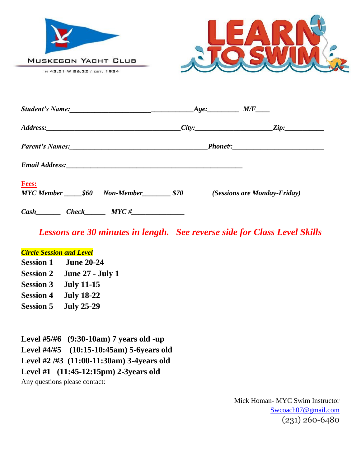



|                                                |  |  | $Age:$ $M/F$ $\qquad \qquad$ |                              |
|------------------------------------------------|--|--|------------------------------|------------------------------|
|                                                |  |  |                              |                              |
|                                                |  |  |                              |                              |
|                                                |  |  |                              |                              |
| <b>Fees:</b><br>MYC Member 560 Non-Member \$70 |  |  |                              | (Sessions are Monday-Friday) |
| $Cash$ $Check$ $MYC \#$                        |  |  |                              |                              |

*Lessons are 30 minutes in length. See reverse side for Class Level Skills*

# *Circle Session and Level*

**Session 1 June 20-24 Session 2 June 27 - July 1 Session 3 July 11-15 Session 4 July 18-22 Session 5 July 25-29**

**Level #5/#6 (9:30-10am) 7 years old -up Level #4/#5 (10:15-10:45am) 5-6years old Level #2 /#3 (11:00-11:30am) 3-4years old Level #1 (11:45-12:15pm) 2-3years old** Any questions please contact:

> Mick Homan- MYC Swim Instructor [Swcoach07@gmail.com](mailto:Swcoach07@gmail.com) (231) 260-6480